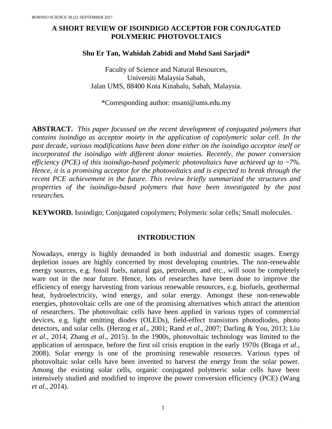# **A SHORT REVIEW OF ISOINDIGO ACCEPTOR FOR CONJUGATED POLYMERIC PHOTOVOLTAICS**

# **Shu Er Tan, Wahidah Zabidi and Mohd Sani Sarjadi\***

Faculty of Science and Natural Resources, Universiti Malaysia Sabah, Jalan UMS, 88400 Kota Kinabalu, Sabah, Malaysia.

\*Corresponding author: msani@ums.edu.my

**ABSTRACT.** *This paper focussed on the recent development of conjugated polymers that contains isoindigo as acceptor moiety in the application of copolymeric solar cell. In the past decade, various modifications have been done either on the isoindigo acceptor itself or incorporated the isoindigo with different donor moieties. Recently, the power conversion efficiency (PCE) of this isoindigo-based polymeric photovoltaics have achieved up to ~7%. Hence, it is a promising acceptor for the photovoltaics and is expected to break through the recent PCE achievement in the future. This review briefly summarized the structures and properties of the isoindigo-based polymers that have been investigated by the past researches.*

**KEYWORD.** Isoindigo; Conjugated copolymers; Polymeric solar cells; Small molecules.

## **INTRODUCTION**

Nowadays, energy is highly demanded in both industrial and domestic usages. Energy depletion issues are highly concerned by most developing countries. The non-renewable energy sources, e.g. fossil fuels, natural gas, petroleum, and etc., will soon be completely ware out in the near future. Hence, lots of researches have been done to improve the efficiency of energy harvesting from various renewable resources, e.g. biofuels, geothermal heat, hydroelectricity, wind energy, and solar energy. Amongst these non-renewable energies, photovoltaic cells are one of the promising alternatives which attract the attention of researchers. The photovoltaic cells have been applied in various types of commercial devices, e.g. light emitting diodes (OLEDs), field-effect transistors photodiodes, photo detectors, and solar cells. (Herzog *et al*., 2001; Rand *et al*., 2007; Darling & You, 2013; Liu *et al*., 2014; Zhang *et al*., 2015). In the 1900s, photovoltaic technology was limited to the application of aerospace, before the first oil crisis eruption in the early 1970s (Braga *et al.,* 2008). Solar energy is one of the promising renewable resources. Various types of photovoltaic solar cells have been invented to harvest the energy from the solar power. Among the existing solar cells, organic conjugated polymeric solar cells have been intensively studied and modified to improve the power conversion efficiency (PCE) (Wang *et al.,* 2014).

1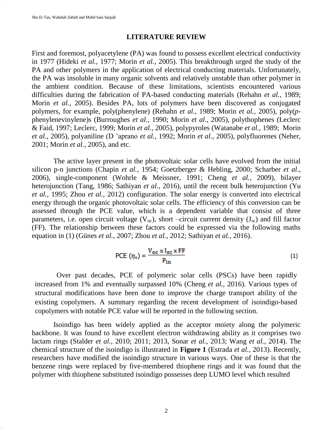# **LITERATURE REVIEW**

First and foremost, polyacetylene (PA) was found to possess excellent electrical conductivity in 1977 (Hideki *et al.,* 1977; Morin *et al.,* 2005). This breakthrough urged the study of the PA and other polymers in the application of electrical conducting materials. Unfortunately, the PA was insoluble in many organic solvents and relatively unstable than other polymer in the ambient condition. Because of these limitations, scientists encountered various difficulties during the fabrication of PA-based conducting materials (Rehahn *et al.,* 1989; Morin *et al.,* 2005). Besides PA, lots of polymers have been discovered as conjugated polymers, for example, poly(phenylene) (Rehahn *et al.,* 1989; Morin *et al.,* 2005), poly(*p*phenylenevinylene)s (Burroughes *et al.,* 1990; Morin *et al.,* 2005), polythophenes (Leclerc & Faid, 1997; Leclerc, 1999; Morin *et al.,* 2005), polypyroles (Watanabe *et al.,* 1989; Morin *et al.,* 2005), polyaniline (D 'aprano *et al.,* 1992; Morin *et al.,* 2005), polyfluorenes (Neher, 2001; Morin *et al.,* 2005), and etc.

The active layer present in the photovoltaic solar cells have evolved from the initial silicon p-n junctions (Chapin *et al.,* 1954; Goetzberger & Hebling, 2000; Scharber *et al*., 2006), single-component (Wohrle & Meissner, 1991; Cheng *et al.,* 2009), bilayer heterojunction (Tang, 1986; Sathiyan *et al.,* 2016), until the recent bulk heterojunction (Yu *et al.,* 1995; Zhou *et al.,* 2012) configuration. The solar energy is converted into electrical energy through the organic photovoltaic solar cells. The efficiency of this conversion can be assessed through the PCE value, which is a dependent variable that consist of three parameters, i.e. open circuit voltage  $(V_{\alpha})$ , short –circuit current density  $(J_{\alpha})$  and fill factor (FF). The relationship between these factors could be expressed via the following maths equation in (1) (Günes *et al.,* 2007; Zhou *et al.,* 2012; Sathiyan *et al.,* 2016).

$$
PCE (\eta_e) = \frac{V_{oc} \times I_{sc} \times FF}{P_{in}}
$$
 (1)

Over past decades, PCE of polymeric solar cells (PSCs) have been rapidly increased from 1% and eventually surpassed 10% (Cheng *et al.,* 2016). Various types of structural modifications have been done to improve the charge transport ability of the existing copolymers. A summary regarding the recent development of isoindigo-based copolymers with notable PCE value will be reported in the following section.

Isoindigo has been widely applied as the acceptor moiety along the polymeric backbone. It was found to have excellent electron withdrawing ability as it comprises two lactam rings (Stalder *et al.,* 2010; 2011; 2013, Sonar *et al.,* 2013; Wang *et al.,* 2014). The chemical structure of the isoindigo is illustrated in **Figure 1** (Estrada *et al.,* 2013). Recently, researchers have modified the isoindigo structure in various ways. One of these is that the benzene rings were replaced by five-membered thiophene rings and it was found that the polymer with thiophene substituted isoindigo possesses deep LUMO level which resulted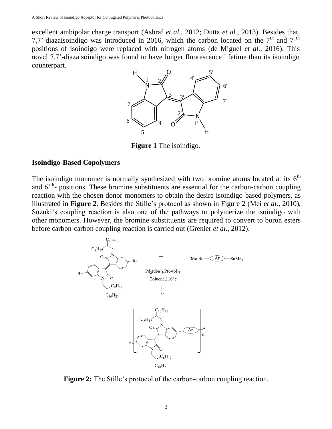excellent ambipolar charge transport (Ashraf *et al.,* 2012; Dutta *et al.,* 2013). Besides that, 7,7'-diazaisoindigo was introduced in 2016, which the carbon located on the  $7<sup>th</sup>$  and  $7<sup>-th</sup>$ positions of isoindigo were replaced with nitrogen atoms (de Miguel *et al.,* 2016). This novel 7,7'-diazaisoindigo was found to have longer fluorescence lifetime than its isoindigo counterpart.



**Figure 1** The isoindigo.

## **Isoindigo-Based Copolymers**

The isoindigo monomer is normally synthesized with two bromine atoms located at its  $6<sup>th</sup>$ and 6<sup>th</sup>- positions. These bromine substituents are essential for the carbon-carbon coupling reaction with the chosen donor monomers to obtain the desire isoindigo-based polymers, as illustrated in **Figure 2**. Besides the Stille's protocol as shown in Figure 2 (Mei *et al.,* 2010), Suzuki's coupling reaction is also one of the pathways to polymerize the isoindigo with other monomers. However, the bromine substituents are required to convert to boron esters before carbon-carbon coupling reaction is carried out (Grenier *et al.,* 2012).



**Figure 2:** The Stille's protocol of the carbon-carbon coupling reaction.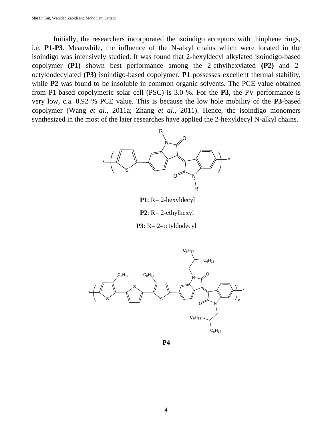Initially, the researchers incorporated the isoindigo acceptors with thiophene rings, i.e. **P1**-**P3**. Meanwhile, the influence of the N-alkyl chains which were located in the isoindigo was intensively studied. It was found that 2-hexyldecyl alkylated isoindigo-based copolymer **(P1)** shown best performance among the 2-ethylhexylated **(P2)** and 2 octyldodecylated **(P3)** isoindigo-based copolymer. **P1** possesses excellent thermal stability, while **P2** was found to be insoluble in common organic solvents. The PCE value obtained from P1-based copolymeric solar cell (PSC) is 3.0 %. For the **P3**, the PV performance is very low, c.a. 0.92 % PCE value. This is because the low hole mobility of the **P3**-based copolymer (Wang *et al.,* 2011a; Zhang *et al.,* 2011). Hence, the isoindigo monomers synthesized in the most of the later researches have applied the 2-hexyldecyl N-alkyl chains.



**P1**: R= 2-hexyldecyl

**P2**: R= 2-ethylhexyl





**P4**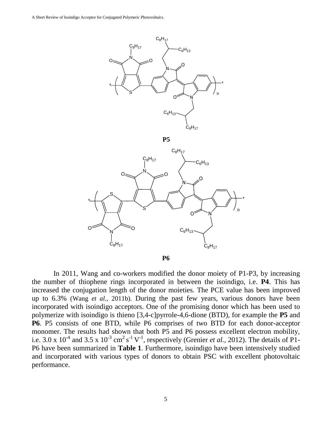

In 2011, Wang and co-workers modified the donor moiety of P1-P3, by increasing the number of thiophene rings incorporated in between the isoindigo, i.e. **P4**. This has increased the conjugation length of the donor moieties. The PCE value has been improved up to 6.3% (Wang *et al.,* 2011b). During the past few years, various donors have been incorporated with isoindigo acceptors. One of the promising donor which has been used to polymerize with isoindigo is thieno [3,4-c]pyrrole-4,6-dione (BTD), for example the **P5** and **P6**. P5 consists of one BTD, while P6 comprises of two BTD for each donor-acceptor monomer. The results had shown that both P5 and P6 possess excellent electron mobility, i.e. 3.0 x  $10^{-4}$  and 3.5 x  $10^{-3}$  cm<sup>2</sup> s<sup>-1</sup> V<sup>-1</sup>, respectively (Grenier *et al.,* 2012). The details of P1-

P6 have been summarized in **Table 1**. Furthermore, isoindigo have been intensively studied and incorporated with various types of donors to obtain PSC with excellent photovoltaic performance.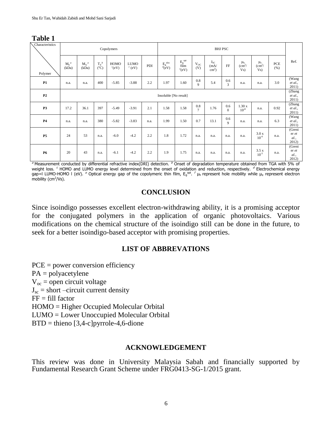| Characteristics | Copolymers            |                  |                          |                     |                            |      | <b>BHJ PSC</b>                                       |                                         |                           |                                  |                     |                                                 |                                           |             |                                  |
|-----------------|-----------------------|------------------|--------------------------|---------------------|----------------------------|------|------------------------------------------------------|-----------------------------------------|---------------------------|----------------------------------|---------------------|-------------------------------------------------|-------------------------------------------|-------------|----------------------------------|
| Polymer         | $M_n^a$<br>(kDa)      | $M_w^a$<br>(kDa) | $T_d^b$<br>$(^{\circ}C)$ | HOMO<br>$^{c}$ (eV) | <b>LUMO</b><br>$^{c}$ (eV) | PDI  | $\frac{\mathrm{Eg}}{d(\mathrm{eV})}^{\mathrm{elec}}$ | $\mathrm{E_{g}^{opt}}$ film<br>$e$ (eV) | $V_{OC}$<br>(V)           | $J_{SC}$<br>(mA)<br>$\rm cm^2$ ) | FF                  | $\mu_{\rm h}$<br>$\frac{1}{\text{cm}^2}$<br>Vs) | $\mu_e$<br>$\frac{1}{\text{cm}^2}$<br>Vs) | PCE<br>(% ) | Ref.                             |
| P1              | n.a.                  | n.a.             | 400                      | $-5.85$             | $-3.88$                    | 2.2  | 1.97                                                 | 1.60                                    | $0.8\,$<br>9              | 5.4                              | 0.6<br>3            | n.a.                                            | n.a.                                      | 3.0         | (Wang<br>et al.,<br>2011)        |
| P2              | Insoluble [No result] |                  |                          |                     |                            |      |                                                      |                                         |                           |                                  |                     |                                                 |                                           |             | (Zhang<br>et al.,<br>2011)       |
| P3              | 17.2                  | 36.1             | 397                      | $-5.49$             | $-3.91$                    | 2.1  | 1.58                                                 | 1.58                                    | $0.8\,$<br>$\overline{7}$ | 1.76                             | 0.6<br>$\mathbf{0}$ | 1.30x<br>$10^{-8}$                              | n.a.                                      | 0.92        | (Zhang<br>et al.,<br>2011)       |
| $\mathbf{P4}$   | n.a.                  | n.a.             | 380                      | $-5.82$             | $-3.83$                    | n.a. | 1.99                                                 | 1.50                                    | 0.7                       | 13.1                             | 0.6<br>9            | n.a.                                            | n.a.                                      | 6.3         | (Wang<br>et al.,<br>2011)        |
| <b>P5</b>       | 24                    | 53               | n.a.                     | $-6.0$              | $-4.2$                     | 2.2  | 1.8                                                  | 1.72                                    | n.a.                      | n.a.                             | n.a.                | n.a.                                            | 3.0 x<br>$10^{-4}$                        | n.a.        | (Greni<br>er et<br>al.,<br>2012) |
| <b>P6</b>       | 20                    | 43               | n.a.                     | $-6.1$              | $-4.2$                     | 2.2  | 1.9                                                  | 1.75                                    | n.a.                      | n.a.                             | n.a.                | n.a.                                            | 3.5x<br>$10^{-3}$                         | n.a.        | (Greni<br>er et<br>al.,<br>2012) |

**Table 1**

<sup>a</sup> Measurement conducted by differential refractive index(DRI) detection. <sup>b</sup> Onset of degradation temperature obtained from TGA with 5% of weight loss. <sup>c</sup> HOMO and LUMO energy level determined from the onset of oxidation and reduction, respectively. <sup>d</sup> Electrochemical energy gap=I LUMO-HOMO I (eV). <sup>e</sup> Optical energy gap of the copolymeric thin film, E<sub>g</sub>opt. <sup>f</sup> µ<sub>h</sub> represent hole mobility while µ<sub>e</sub> represent electron mobility (cm<sup>2</sup>/Vs).

#### **CONCLUSION**

Since isoindigo possesses excellent electron-withdrawing ability, it is a promising acceptor for the conjugated polymers in the application of organic photovoltaics. Various modifications on the chemical structure of the isoindigo still can be done in the future, to seek for a better isoindigo-based acceptor with promising properties.

## **LIST OF ABBREVATIONS**

PCE = power conversion efficiency PA = polyacetylene  $V_{oc}$  = open circuit voltage  $J_{\rm sc}$  = short –circuit current density  $FF = fill factor$ HOMO = Higher Occupied Molecular Orbital LUMO = Lower Unoccupied Molecular Orbital  $BTD =$  thieno  $[3,4-c]$  pyrrole-4,6-dione

## **ACKNOWLEDGEMENT**

This review was done in University Malaysia Sabah and financially supported by Fundamental Research Grant Scheme under FRG0413-SG-1/2015 grant.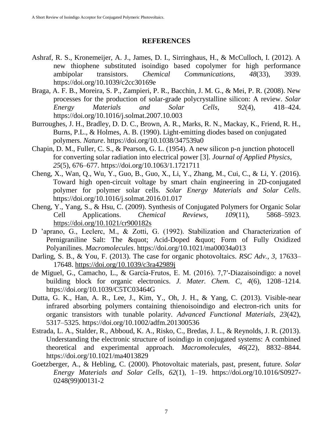#### **REFERENCES**

- Ashraf, R. S., Kronemeijer, A. J., James, D. I., Sirringhaus, H., & McCulloch, I. (2012). A new thiophene substituted isoindigo based copolymer for high performance ambipolar transistors. *Chemical Communications*, *48*(33), 3939. https://doi.org/10.1039/c2cc30169e
- Braga, A. F. B., Moreira, S. P., Zampieri, P. R., Bacchin, J. M. G., & Mei, P. R. (2008). New processes for the production of solar-grade polycrystalline silicon: A review. *Solar Energy Materials and Solar Cells*, *92*(4), 418–424. https://doi.org/10.1016/j.solmat.2007.10.003
- Burroughes, J. H., Bradley, D. D. C., Brown, A. R., Marks, R. N., Mackay, K., Friend, R. H., Burns, P.L., & Holmes, A. B. (1990). Light-emitting diodes based on conjugated polymers. *Nature*. https://doi.org/10.1038/347539a0
- Chapin, D. M., Fuller, C. S., & Pearson, G. L. (1954). A new silicon p-n junction photocell for converting solar radiation into electrical power [3]. *Journal of Applied Physics*, *25*(5), 676–677. https://doi.org/10.1063/1.1721711
- Cheng, X., Wan, Q., Wu, Y., Guo, B., Guo, X., Li, Y., Zhang, M., Cui, C., & Li, Y. (2016). Toward high open-circuit voltage by smart chain engineering in 2D-conjugated polymer for polymer solar cells. *Solar Energy Materials and Solar Cells*. https://doi.org/10.1016/j.solmat.2016.01.017
- Cheng, Y., Yang, S., & Hsu, C. (2009). Synthesis of Conjugated Polymers for Organic Solar Cell Applications. *Chemical Reviews*, *109*(11), 5868–5923. <https://doi.org/10.1021/cr900182s>
- D 'aprano, G., Leclerc, M., & Zotti, G. (1992). Stabilization and Characterization of Pernigraniline Salt: The " Acid-Doped " Form of Fully Oxidized Polyanilines. *Macromolecules*. https://doi.org/10.1021/ma00034a013
- Darling, S. B., & You, F. (2013). The case for organic photovoltaics. *RSC Adv.*, *3*, 17633– 17648.<https://doi.org/10.1039/c3ra42989j>
- de Miguel, G., Camacho, L., & García-Frutos, E. M. (2016). 7,7′-Diazaisoindigo: a novel building block for organic electronics. *J. Mater. Chem. C*, *4*(6), 1208–1214. https://doi.org/10.1039/C5TC03464G
- Dutta, G. K., Han, A. R., Lee, J., Kim, Y., Oh, J. H., & Yang, C. (2013). Visible-near infrared absorbing polymers containing thienoisoindigo and electron-rich units for organic transistors with tunable polarity. *Advanced Functional Materials*, *23*(42), 5317–5325. https://doi.org/10.1002/adfm.201300536
- Estrada, L. A., Stalder, R., Abboud, K. A., Risko, C., Bredas, J. L., & Reynolds, J. R. (2013). Understanding the electronic structure of isoindigo in conjugated systems: A combined theoretical and experimental approach. *Macromolecules*, *46*(22), 8832–8844. https://doi.org/10.1021/ma4013829
- Goetzberger, A., & Hebling, C. (2000). Photovoltaic materials, past, present, future. *Solar Energy Materials and Solar Cells*, *62*(1), 1–19. https://doi.org/10.1016/S0927- 0248(99)00131-2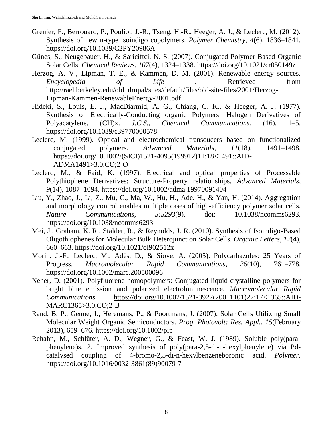- Grenier, F., Berrouard, P., Pouliot, J.-R., Tseng, H.-R., Heeger, A. J., & Leclerc, M. (2012). Synthesis of new n-type isoindigo copolymers. *Polymer Chemistry*, *4*(6), 1836–1841. https://doi.org/10.1039/C2PY20986A
- Günes, S., Neugebauer, H., & Sariciftci, N. S. (2007). Conjugated Polymer-Based Organic Solar Cells. *Chemical Reviews*, *107*(4), 1324–1338. https://doi.org/10.1021/cr050149z
- Herzog, A. V., Lipman, T. E., & Kammen, D. M. (2001). Renewable energy sources. *Encyclopedia of Life .* Retrieved from http://rael.berkeley.edu/old\_drupal/sites/default/files/old-site-files/2001/Herzog-Lipman-Kammen-RenewableEnergy-2001.pdf
- Hideki, S., Louis, E. J., MacDiarmid, A. G., Chiang, C. K., & Heeger, A. J. (1977). Synthesis of Electrically-Conducting organic Polymers: Halogen Derivatives of Polyacatylene, (CH)x. *J.C.S., Chemical Communications*, (16), 1–5. https://doi.org/10.1039/c39770000578
- Leclerc, M. (1999). Optical and electrochemical transducers based on functionalized conjugated polymers. *Advanced Materials*, *11*(18), 1491–1498. https://doi.org/10.1002/(SICI)1521-4095(199912)11:18<1491::AID-ADMA1491>3.0.CO;2-O
- Leclerc, M., & Faid, K. (1997). Electrical and optical properties of Processable Polythiophene Derivatives: Structure-Property relationships. *Advanced Materials*, *9*(14), 1087–1094. https://doi.org/10.1002/adma.19970091404
- Liu, Y., Zhao, J., Li, Z., Mu, C., Ma, W., Hu, H., Ade. H., & Yan, H. (2014). Aggregation and morphology control enables multiple cases of high-efficiency polymer solar cells. *Nature Communications*, *5:5293*(9), doi: 10.1038/ncomms6293. https://doi.org/10.1038/ncomms6293
- Mei, J., Graham, K. R., Stalder, R., & Reynolds, J. R. (2010). Synthesis of Isoindigo-Based Oligothiophenes for Molecular Bulk Heterojunction Solar Cells. *Organic Letters*, *12*(4), 660–663. https://doi.org/10.1021/ol902512x
- Morin, J.-F., Leclerc, M., Adès, D., & Siove, A. (2005). Polycarbazoles: 25 Years of Progress. *Macromolecular Rapid Communications*, *26*(10), 761–778. https://doi.org/10.1002/marc.200500096
- Neher, D. (2001). Polyfluorene homopolymers: Conjugated liquid-crystalline polymers for bright blue emission and polarized electroluminescence. *Macromolecular Rapid Communications*. [https://doi.org/10.1002/1521-3927\(20011101\)22:17<1365::AID-](https://doi.org/10.1002/1521-3927(20011101)22:17%3c1365::AID-MARC1365%3e3.0.CO;2-B)[MARC1365>3.0.CO;2-B](https://doi.org/10.1002/1521-3927(20011101)22:17%3c1365::AID-MARC1365%3e3.0.CO;2-B)
- Rand, B. P., Genoe, J., Heremans, P., & Poortmans, J. (2007). Solar Cells Utilizing Small Molecular Weight Organic Semiconductors. *Prog. Photovolt: Res. Appl.*, *15*(February 2013), 659–676. https://doi.org/10.1002/pip
- Rehahn, M., Schlüter, A. D., Wegner, G., & Feast, W. J. (1989). Soluble poly(paraphenylene)s. 2. Improved synthesis of poly(para-2,5-di-n-hexylphenylene) via Pdcatalysed coupling of 4-bromo-2,5-di-n-hexylbenzeneboronic acid. *Polymer*. https://doi.org/10.1016/0032-3861(89)90079-7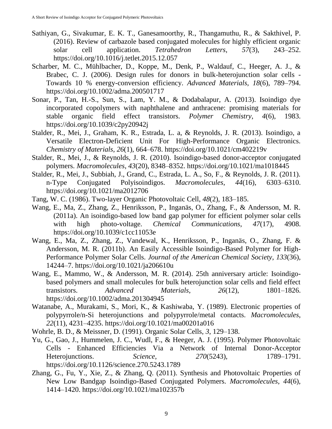- Sathiyan, G., Sivakumar, E. K. T., Ganesamoorthy, R., Thangamuthu, R., & Sakthivel, P. (2016). Review of carbazole based conjugated molecules for highly efficient organic solar cell application. *Tetrahedron Letters*, *57*(3), 243–252. https://doi.org/10.1016/j.tetlet.2015.12.057
- Scharber, M. C., Mühlbacher, D., Koppe, M., Denk, P., Waldauf, C., Heeger, A. J., & Brabec, C. J. (2006). Design rules for donors in bulk-heterojunction solar cells - Towards 10 % energy-conversion efficiency. *Advanced Materials*, *18*(6), 789–794. https://doi.org/10.1002/adma.200501717
- Sonar, P., Tan, H.-S., Sun, S., Lam, Y. M., & Dodabalapur, A. (2013). Isoindigo dye incorporated copolymers with naphthalene and anthracene: promising materials for stable organic field effect transistors. *Polymer Chemistry*, *4*(6), 1983. https://doi.org/10.1039/c2py20942j
- Stalder, R., Mei, J., Graham, K. R., Estrada, L. a, & Reynolds, J. R. (2013). Isoindigo, a Versatile Electron-Deficient Unit For High-Performance Organic Electronics. *Chemistry of Materials*, *26*(1), 664–678. https://doi.org/10.1021/cm402219v
- Stalder, R., Mei, J., & Reynolds, J. R. (2010). Isoindigo-based donor-acceptor conjugated polymers. *Macromolecules*, *43*(20), 8348–8352. https://doi.org/10.1021/ma1018445
- Stalder, R., Mei, J., Subbiah, J., Grand, C., Estrada, L. A., So, F., & Reynolds, J. R. (2011). n-Type Conjugated Polyisoindigos. *Macromolecules*, *44*(16), 6303–6310. https://doi.org/10.1021/ma2012706
- Tang, W. C. (1986). Two-layer Organic Photovoltaic Cell, *48*(2), 183–185.
- Wang, E., Ma, Z., Zhang, Z., Henriksson, P., Inganäs, O., Zhang, F., & Andersson, M. R. (2011a). An isoindigo-based low band gap polymer for efficient polymer solar cells with high photo-voltage. *Chemical Communications*, *47*(17), 4908. https://doi.org/10.1039/c1cc11053e
- Wang, E., Ma, Z., Zhang, Z., Vandewal, K., Henriksson, P., Inganäs, O., Zhang, F. & Andersson, M. R. (2011b). An Easily Accessible Isoindigo-Based Polymer for High-Performance Polymer Solar Cells. *Journal of the American Chemical Society*, *133*(36), 14244–7. https://doi.org/10.1021/ja206610u
- Wang, E., Mammo, W., & Andersson, M. R. (2014). 25th anniversary article: Isoindigobased polymers and small molecules for bulk heterojunction solar cells and field effect transistors. *Advanced Materials*, *26*(12), 1801–1826. https://doi.org/10.1002/adma.201304945
- Watanabe, A., Murakami, S., Mori, K., & Kashiwaba, Y. (1989). Electronic properties of polypyrrole/n-Si heterojunctions and polypyrrole/metal contacts. *Macromolecules*, *22*(11), 4231–4235. https://doi.org/10.1021/ma00201a016
- Wohrle, B. D., & Meissner, D. (1991). Organic Solar Cells, *3*, 129–138.
- Yu, G., Gao, J., Hummelen, J. C., Wudl, F., & Heeger, A. J. (1995). Polymer Photovoltaic Cells - Enhanced Efficiencies Via a Network of Internal Donor-Acceptor Heterojunctions. *Science*, *270*(5243), 1789–1791. https://doi.org/10.1126/science.270.5243.1789
- Zhang, G., Fu, Y., Xie, Z., & Zhang, Q. (2011). Synthesis and Photovoltaic Properties of New Low Bandgap Isoindigo-Based Conjugated Polymers. *Macromolecules*, *44*(6), 1414–1420. https://doi.org/10.1021/ma102357b